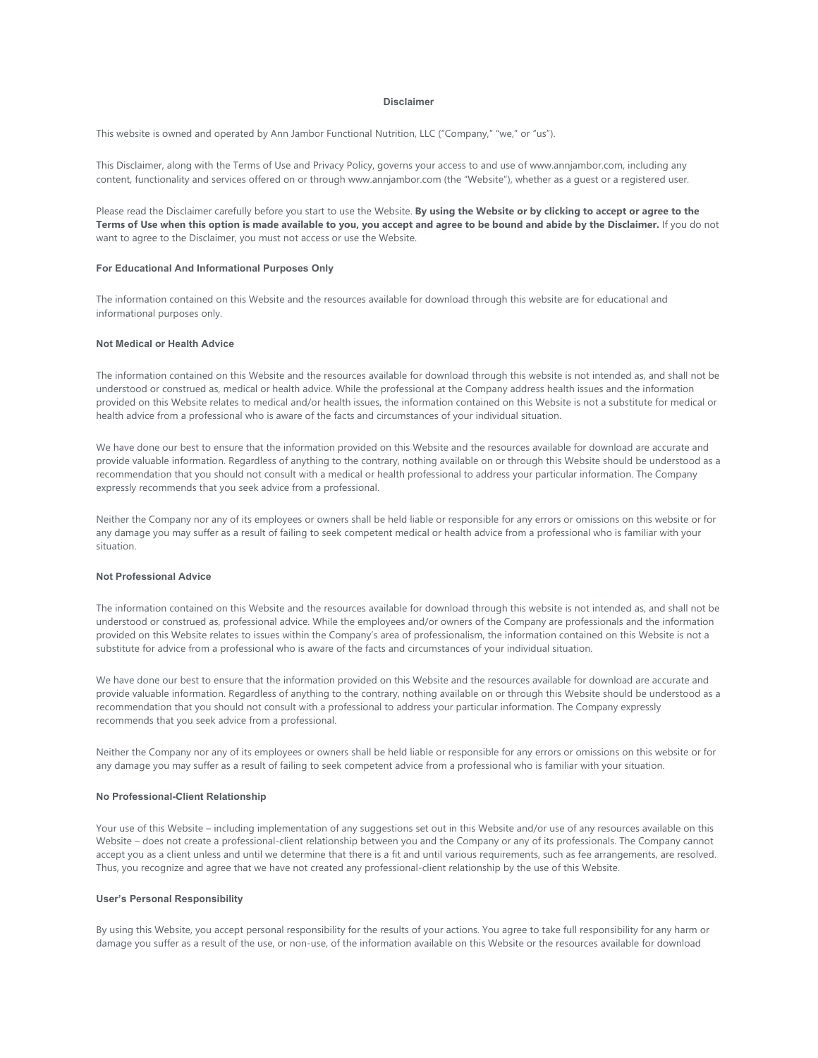## **Disclaimer**

This website is owned and operated by Ann Jambor Functional Nutrition, LLC ("Company," "we," or "us").

This Disclaimer, along with the Terms of Use and Privacy Policy, governs your access to and use of www.annjambor.com, including any content, functionality and services offered on or through www.annjambor.com (the "Website"), whether as a guest or a registered user.

Please read the Disclaimer carefully before you start to use the Website. **By using the Website or by clicking to accept or agree to the Terms of Use when this option is made available to you, you accept and agree to be bound and abide by the Disclaimer.** If you do not want to agree to the Disclaimer, you must not access or use the Website.

## **For Educational And Informational Purposes Only**

The information contained on this Website and the resources available for download through this website are for educational and informational purposes only.

# **Not Medical or Health Advice**

The information contained on this Website and the resources available for download through this website is not intended as, and shall not be understood or construed as, medical or health advice. While the professional at the Company address health issues and the information provided on this Website relates to medical and/or health issues, the information contained on this Website is not a substitute for medical or health advice from a professional who is aware of the facts and circumstances of your individual situation.

We have done our best to ensure that the information provided on this Website and the resources available for download are accurate and provide valuable information. Regardless of anything to the contrary, nothing available on or through this Website should be understood as a recommendation that you should not consult with a medical or health professional to address your particular information. The Company expressly recommends that you seek advice from a professional.

Neither the Company nor any of its employees or owners shall be held liable or responsible for any errors or omissions on this website or for any damage you may suffer as a result of failing to seek competent medical or health advice from a professional who is familiar with your situation.

# **Not Professional Advice**

The information contained on this Website and the resources available for download through this website is not intended as, and shall not be understood or construed as, professional advice. While the employees and/or owners of the Company are professionals and the information provided on this Website relates to issues within the Company's area of professionalism, the information contained on this Website is not a substitute for advice from a professional who is aware of the facts and circumstances of your individual situation.

We have done our best to ensure that the information provided on this Website and the resources available for download are accurate and provide valuable information. Regardless of anything to the contrary, nothing available on or through this Website should be understood as a recommendation that you should not consult with a professional to address your particular information. The Company expressly recommends that you seek advice from a professional.

Neither the Company nor any of its employees or owners shall be held liable or responsible for any errors or omissions on this website or for any damage you may suffer as a result of failing to seek competent advice from a professional who is familiar with your situation.

## **No Professional-Client Relationship**

Your use of this Website – including implementation of any suggestions set out in this Website and/or use of any resources available on this Website – does not create a professional-client relationship between you and the Company or any of its professionals. The Company cannot accept you as a client unless and until we determine that there is a fit and until various requirements, such as fee arrangements, are resolved. Thus, you recognize and agree that we have not created any professional-client relationship by the use of this Website.

## **User's Personal Responsibility**

By using this Website, you accept personal responsibility for the results of your actions. You agree to take full responsibility for any harm or damage you suffer as a result of the use, or non-use, of the information available on this Website or the resources available for download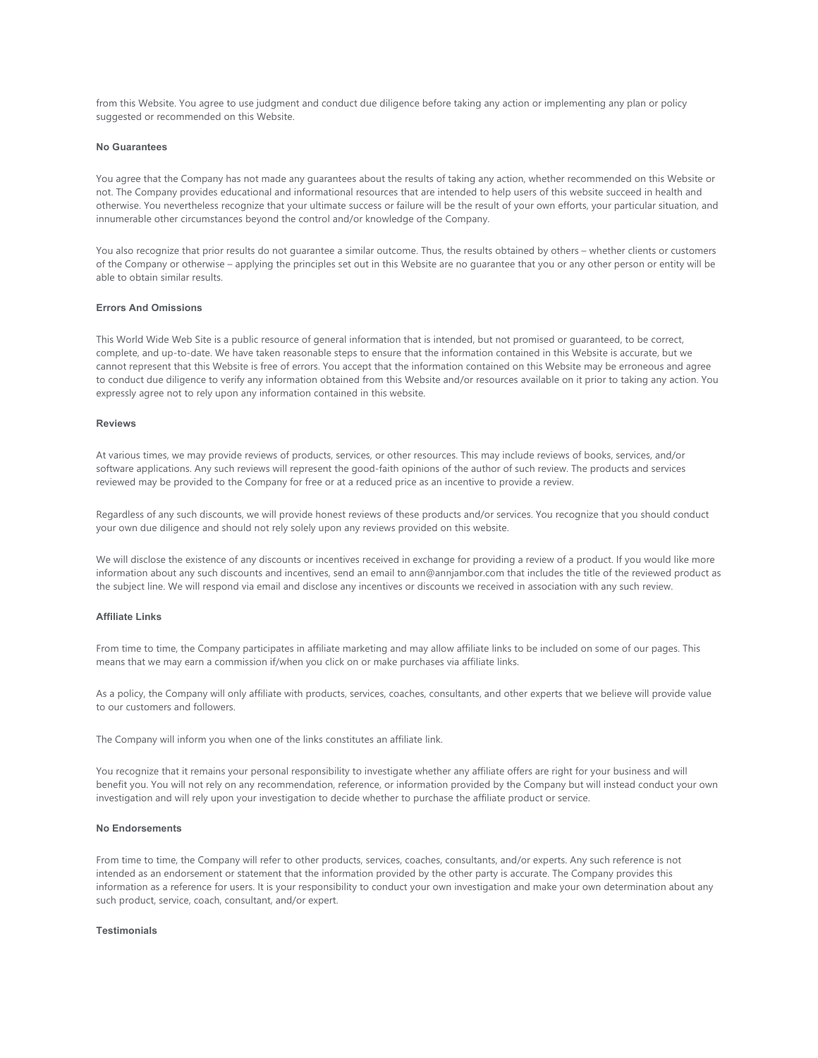from this Website. You agree to use judgment and conduct due diligence before taking any action or implementing any plan or policy suggested or recommended on this Website.

#### **No Guarantees**

You agree that the Company has not made any guarantees about the results of taking any action, whether recommended on this Website or not. The Company provides educational and informational resources that are intended to help users of this website succeed in health and otherwise. You nevertheless recognize that your ultimate success or failure will be the result of your own efforts, your particular situation, and innumerable other circumstances beyond the control and/or knowledge of the Company.

You also recognize that prior results do not guarantee a similar outcome. Thus, the results obtained by others – whether clients or customers of the Company or otherwise – applying the principles set out in this Website are no guarantee that you or any other person or entity will be able to obtain similar results.

# **Errors And Omissions**

This World Wide Web Site is a public resource of general information that is intended, but not promised or guaranteed, to be correct, complete, and up-to-date. We have taken reasonable steps to ensure that the information contained in this Website is accurate, but we cannot represent that this Website is free of errors. You accept that the information contained on this Website may be erroneous and agree to conduct due diligence to verify any information obtained from this Website and/or resources available on it prior to taking any action. You expressly agree not to rely upon any information contained in this website.

## **Reviews**

At various times, we may provide reviews of products, services, or other resources. This may include reviews of books, services, and/or software applications. Any such reviews will represent the good-faith opinions of the author of such review. The products and services reviewed may be provided to the Company for free or at a reduced price as an incentive to provide a review.

Regardless of any such discounts, we will provide honest reviews of these products and/or services. You recognize that you should conduct your own due diligence and should not rely solely upon any reviews provided on this website.

We will disclose the existence of any discounts or incentives received in exchange for providing a review of a product. If you would like more information about any such discounts and incentives, send an email to ann@annjambor.com that includes the title of the reviewed product as the subject line. We will respond via email and disclose any incentives or discounts we received in association with any such review.

#### **Affiliate Links**

From time to time, the Company participates in affiliate marketing and may allow affiliate links to be included on some of our pages. This means that we may earn a commission if/when you click on or make purchases via affiliate links.

As a policy, the Company will only affiliate with products, services, coaches, consultants, and other experts that we believe will provide value to our customers and followers.

The Company will inform you when one of the links constitutes an affiliate link.

You recognize that it remains your personal responsibility to investigate whether any affiliate offers are right for your business and will benefit you. You will not rely on any recommendation, reference, or information provided by the Company but will instead conduct your own investigation and will rely upon your investigation to decide whether to purchase the affiliate product or service.

## **No Endorsements**

From time to time, the Company will refer to other products, services, coaches, consultants, and/or experts. Any such reference is not intended as an endorsement or statement that the information provided by the other party is accurate. The Company provides this information as a reference for users. It is your responsibility to conduct your own investigation and make your own determination about any such product, service, coach, consultant, and/or expert.

#### **Testimonials**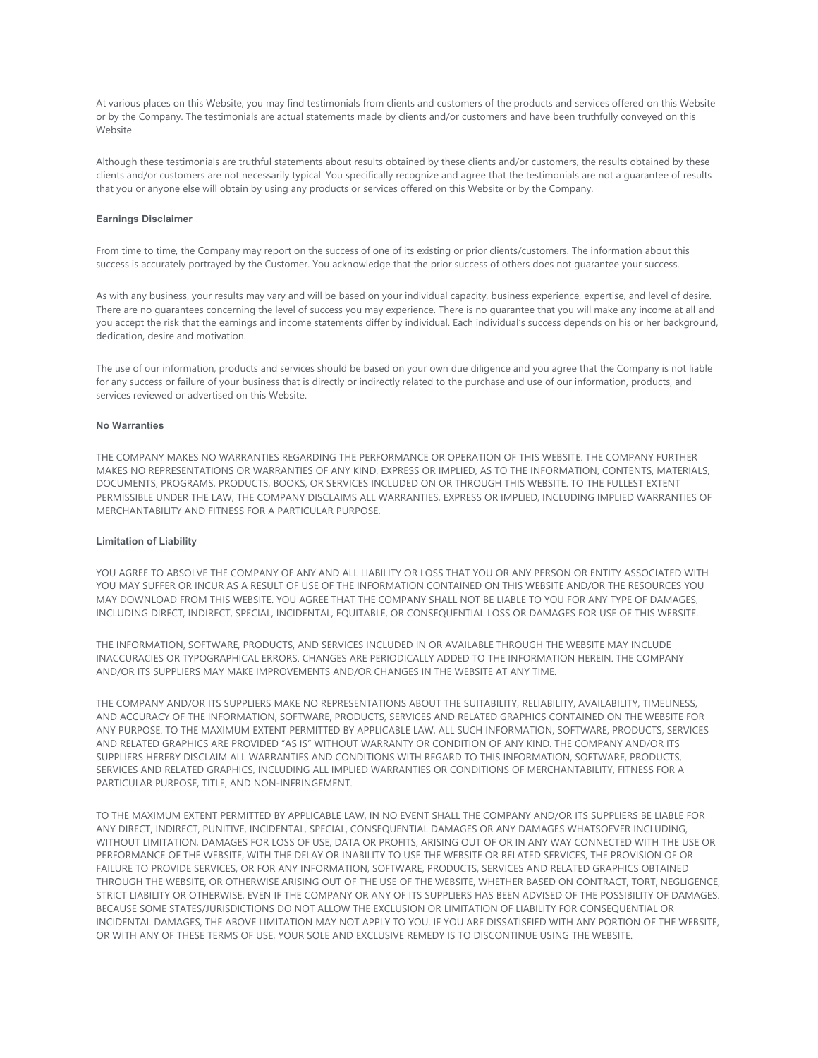At various places on this Website, you may find testimonials from clients and customers of the products and services offered on this Website or by the Company. The testimonials are actual statements made by clients and/or customers and have been truthfully conveyed on this Website.

Although these testimonials are truthful statements about results obtained by these clients and/or customers, the results obtained by these clients and/or customers are not necessarily typical. You specifically recognize and agree that the testimonials are not a guarantee of results that you or anyone else will obtain by using any products or services offered on this Website or by the Company.

## **Earnings Disclaimer**

From time to time, the Company may report on the success of one of its existing or prior clients/customers. The information about this success is accurately portrayed by the Customer. You acknowledge that the prior success of others does not guarantee your success.

As with any business, your results may vary and will be based on your individual capacity, business experience, expertise, and level of desire. There are no guarantees concerning the level of success you may experience. There is no guarantee that you will make any income at all and you accept the risk that the earnings and income statements differ by individual. Each individual's success depends on his or her background, dedication, desire and motivation.

The use of our information, products and services should be based on your own due diligence and you agree that the Company is not liable for any success or failure of your business that is directly or indirectly related to the purchase and use of our information, products, and services reviewed or advertised on this Website.

#### **No Warranties**

THE COMPANY MAKES NO WARRANTIES REGARDING THE PERFORMANCE OR OPERATION OF THIS WEBSITE. THE COMPANY FURTHER MAKES NO REPRESENTATIONS OR WARRANTIES OF ANY KIND, EXPRESS OR IMPLIED, AS TO THE INFORMATION, CONTENTS, MATERIALS, DOCUMENTS, PROGRAMS, PRODUCTS, BOOKS, OR SERVICES INCLUDED ON OR THROUGH THIS WEBSITE. TO THE FULLEST EXTENT PERMISSIBLE UNDER THE LAW, THE COMPANY DISCLAIMS ALL WARRANTIES, EXPRESS OR IMPLIED, INCLUDING IMPLIED WARRANTIES OF MERCHANTABILITY AND FITNESS FOR A PARTICULAR PURPOSE.

## **Limitation of Liability**

YOU AGREE TO ABSOLVE THE COMPANY OF ANY AND ALL LIABILITY OR LOSS THAT YOU OR ANY PERSON OR ENTITY ASSOCIATED WITH YOU MAY SUFFER OR INCUR AS A RESULT OF USE OF THE INFORMATION CONTAINED ON THIS WEBSITE AND/OR THE RESOURCES YOU MAY DOWNLOAD FROM THIS WEBSITE. YOU AGREE THAT THE COMPANY SHALL NOT BE LIABLE TO YOU FOR ANY TYPE OF DAMAGES, INCLUDING DIRECT, INDIRECT, SPECIAL, INCIDENTAL, EQUITABLE, OR CONSEQUENTIAL LOSS OR DAMAGES FOR USE OF THIS WEBSITE.

THE INFORMATION, SOFTWARE, PRODUCTS, AND SERVICES INCLUDED IN OR AVAILABLE THROUGH THE WEBSITE MAY INCLUDE INACCURACIES OR TYPOGRAPHICAL ERRORS. CHANGES ARE PERIODICALLY ADDED TO THE INFORMATION HEREIN. THE COMPANY AND/OR ITS SUPPLIERS MAY MAKE IMPROVEMENTS AND/OR CHANGES IN THE WEBSITE AT ANY TIME.

THE COMPANY AND/OR ITS SUPPLIERS MAKE NO REPRESENTATIONS ABOUT THE SUITABILITY, RELIABILITY, AVAILABILITY, TIMELINESS, AND ACCURACY OF THE INFORMATION, SOFTWARE, PRODUCTS, SERVICES AND RELATED GRAPHICS CONTAINED ON THE WEBSITE FOR ANY PURPOSE. TO THE MAXIMUM EXTENT PERMITTED BY APPLICABLE LAW, ALL SUCH INFORMATION, SOFTWARE, PRODUCTS, SERVICES AND RELATED GRAPHICS ARE PROVIDED "AS IS" WITHOUT WARRANTY OR CONDITION OF ANY KIND. THE COMPANY AND/OR ITS SUPPLIERS HEREBY DISCLAIM ALL WARRANTIES AND CONDITIONS WITH REGARD TO THIS INFORMATION, SOFTWARE, PRODUCTS, SERVICES AND RELATED GRAPHICS, INCLUDING ALL IMPLIED WARRANTIES OR CONDITIONS OF MERCHANTABILITY, FITNESS FOR A PARTICULAR PURPOSE, TITLE, AND NON-INFRINGEMENT.

TO THE MAXIMUM EXTENT PERMITTED BY APPLICABLE LAW, IN NO EVENT SHALL THE COMPANY AND/OR ITS SUPPLIERS BE LIABLE FOR ANY DIRECT, INDIRECT, PUNITIVE, INCIDENTAL, SPECIAL, CONSEQUENTIAL DAMAGES OR ANY DAMAGES WHATSOEVER INCLUDING, WITHOUT LIMITATION, DAMAGES FOR LOSS OF USE, DATA OR PROFITS, ARISING OUT OF OR IN ANY WAY CONNECTED WITH THE USE OR PERFORMANCE OF THE WEBSITE, WITH THE DELAY OR INABILITY TO USE THE WEBSITE OR RELATED SERVICES, THE PROVISION OF OR FAILURE TO PROVIDE SERVICES, OR FOR ANY INFORMATION, SOFTWARE, PRODUCTS, SERVICES AND RELATED GRAPHICS OBTAINED THROUGH THE WEBSITE, OR OTHERWISE ARISING OUT OF THE USE OF THE WEBSITE, WHETHER BASED ON CONTRACT, TORT, NEGLIGENCE, STRICT LIABILITY OR OTHERWISE, EVEN IF THE COMPANY OR ANY OF ITS SUPPLIERS HAS BEEN ADVISED OF THE POSSIBILITY OF DAMAGES. BECAUSE SOME STATES/JURISDICTIONS DO NOT ALLOW THE EXCLUSION OR LIMITATION OF LIABILITY FOR CONSEQUENTIAL OR INCIDENTAL DAMAGES, THE ABOVE LIMITATION MAY NOT APPLY TO YOU. IF YOU ARE DISSATISFIED WITH ANY PORTION OF THE WEBSITE, OR WITH ANY OF THESE TERMS OF USE, YOUR SOLE AND EXCLUSIVE REMEDY IS TO DISCONTINUE USING THE WEBSITE.